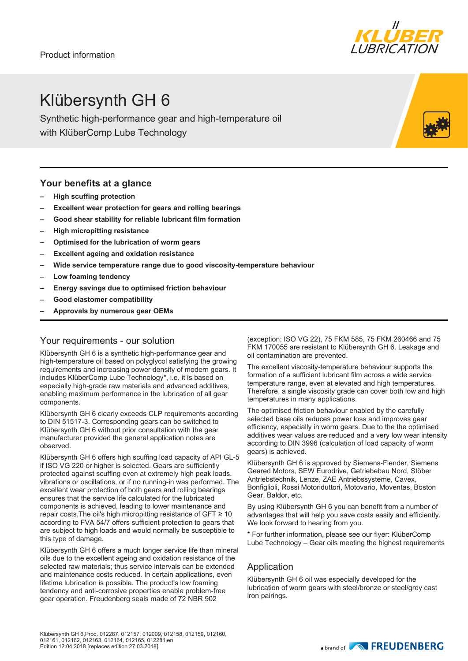Product information



## Klübersynth GH 6

Synthetic high-performance gear and high-temperature oil with KlüberComp Lube Technology

#### **Your benefits at a glance**

- **– High scuffing protection**
- **– Excellent wear protection for gears and rolling bearings**
- **– Good shear stability for reliable lubricant film formation**
- **– High micropitting resistance**
- **– Optimised for the lubrication of worm gears**
- **– Excellent ageing and oxidation resistance**
- **– Wide service temperature range due to good viscosity-temperature behaviour**
- **– Low foaming tendency**
- **– Energy savings due to optimised friction behaviour**
- **– Good elastomer compatibility**
- **– Approvals by numerous gear OEMs**

### Your requirements - our solution

Klübersynth GH 6 is a synthetic high-performance gear and high-temperature oil based on polyglycol satisfying the growing requirements and increasing power density of modern gears. It includes KlüberComp Lube Technology\*, i.e. it is based on especially high-grade raw materials and advanced additives, enabling maximum performance in the lubrication of all gear components.

Klübersynth GH 6 clearly exceeds CLP requirements according to DIN 51517-3. Corresponding gears can be switched to Klübersynth GH 6 without prior consultation with the gear manufacturer provided the general application notes are observed.

Klübersynth GH 6 offers high scuffing load capacity of API GL-5 if ISO VG 220 or higher is selected. Gears are sufficiently protected against scuffing even at extremely high peak loads, vibrations or oscillations, or if no running-in was performed. The excellent wear protection of both gears and rolling bearings ensures that the service life calculated for the lubricated components is achieved, leading to lower maintenance and repair costs.The oil's high micropitting resistance of GFT ≥ 10 according to FVA 54/7 offers sufficient protection to gears that are subject to high loads and would normally be susceptible to this type of damage.

Klübersynth GH 6 offers a much longer service life than mineral oils due to the excellent ageing and oxidation resistance of the selected raw materials; thus service intervals can be extended and maintenance costs reduced. In certain applications, even lifetime lubrication is possible. The product's low foaming tendency and anti-corrosive properties enable problem-free gear operation. Freudenberg seals made of 72 NBR 902

(exception: ISO VG 22), 75 FKM 585, 75 FKM 260466 and 75 FKM 170055 are resistant to Klübersynth GH 6. Leakage and oil contamination are prevented.

The excellent viscosity-temperature behaviour supports the formation of a sufficient lubricant film across a wide service temperature range, even at elevated and high temperatures. Therefore, a single viscosity grade can cover both low and high temperatures in many applications.

The optimised friction behaviour enabled by the carefully selected base oils reduces power loss and improves gear efficiency, especially in worm gears. Due to the the optimised additives wear values are reduced and a very low wear intensity according to DIN 3996 (calculation of load capacity of worm gears) is achieved.

Klübersynth GH 6 is approved by Siemens-Flender, Siemens Geared Motors, SEW Eurodrive, Getriebebau Nord, Stöber Antriebstechnik, Lenze, ZAE Antriebssysteme, Cavex, Bonfiglioli, Rossi Motoriduttori, Motovario, Moventas, Boston Gear, Baldor, etc.

By using Klübersynth GH 6 you can benefit from a number of advantages that will help you save costs easily and efficiently. We look forward to hearing from you.

\* For further information, please see our flyer: KlüberComp Lube Technology – Gear oils meeting the highest requirements

### Application

Klübersynth GH 6 oil was especially developed for the lubrication of worm gears with steel/bronze or steel/grey cast iron pairings.

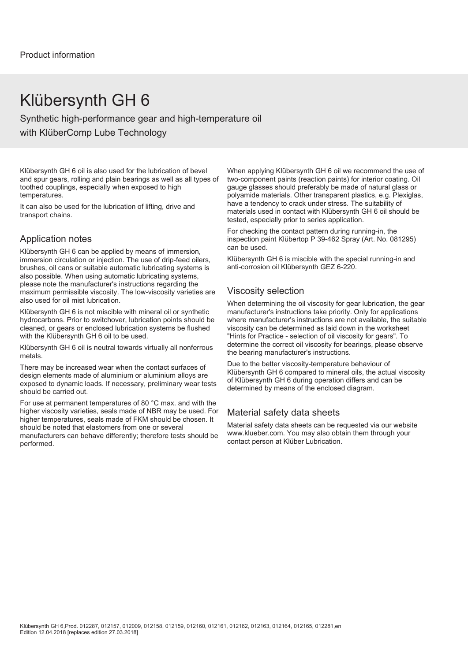### Klübersynth GH 6

Synthetic high-performance gear and high-temperature oil with KlüberComp Lube Technology

Klübersynth GH 6 oil is also used for the lubrication of bevel and spur gears, rolling and plain bearings as well as all types of toothed couplings, especially when exposed to high temperatures.

It can also be used for the lubrication of lifting, drive and transport chains.

#### Application notes

Klübersynth GH 6 can be applied by means of immersion, immersion circulation or injection. The use of drip-feed oilers, brushes, oil cans or suitable automatic lubricating systems is also possible. When using automatic lubricating systems, please note the manufacturer's instructions regarding the maximum permissible viscosity. The low-viscosity varieties are also used for oil mist lubrication.

Klübersynth GH 6 is not miscible with mineral oil or synthetic hydrocarbons. Prior to switchover, lubrication points should be cleaned, or gears or enclosed lubrication systems be flushed with the Klübersynth GH 6 oil to be used.

Klübersynth GH 6 oil is neutral towards virtually all nonferrous metals.

There may be increased wear when the contact surfaces of design elements made of aluminium or aluminium alloys are exposed to dynamic loads. If necessary, preliminary wear tests should be carried out.

For use at permanent temperatures of 80 °C max. and with the higher viscosity varieties, seals made of NBR may be used. For higher temperatures, seals made of FKM should be chosen. It should be noted that elastomers from one or several manufacturers can behave differently; therefore tests should be performed.

When applying Klübersynth GH 6 oil we recommend the use of two-component paints (reaction paints) for interior coating. Oil gauge glasses should preferably be made of natural glass or polyamide materials. Other transparent plastics, e.g. Plexiglas, have a tendency to crack under stress. The suitability of materials used in contact with Klübersynth GH 6 oil should be tested, especially prior to series application.

For checking the contact pattern during running-in, the inspection paint Klübertop P 39-462 Spray (Art. No. 081295) can be used.

Klübersynth GH 6 is miscible with the special running-in and anti-corrosion oil Klübersynth GEZ 6-220.

#### Viscosity selection

When determining the oil viscosity for gear lubrication, the gear manufacturer's instructions take priority. Only for applications where manufacturer's instructions are not available, the suitable viscosity can be determined as laid down in the worksheet "Hints for Practice - selection of oil viscosity for gears". To determine the correct oil viscosity for bearings, please observe the bearing manufacturer's instructions.

Due to the better viscosity-temperature behaviour of Klübersynth GH 6 compared to mineral oils, the actual viscosity of Klübersynth GH 6 during operation differs and can be determined by means of the enclosed diagram.

#### Material safety data sheets

Material safety data sheets can be requested via our website www.klueber.com. You may also obtain them through your contact person at Klüber Lubrication.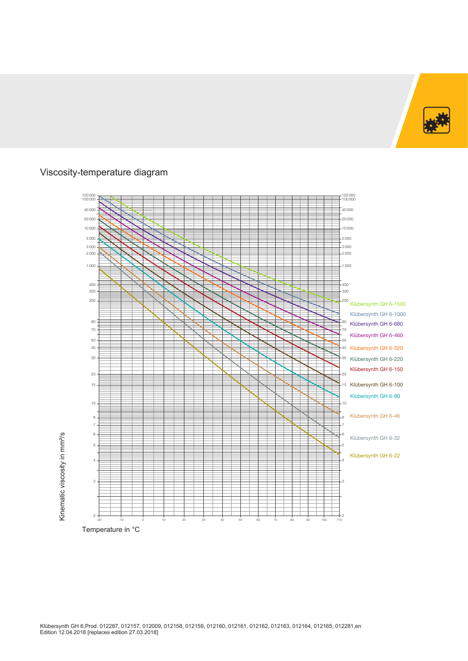

### Viscosity-temperature diagram

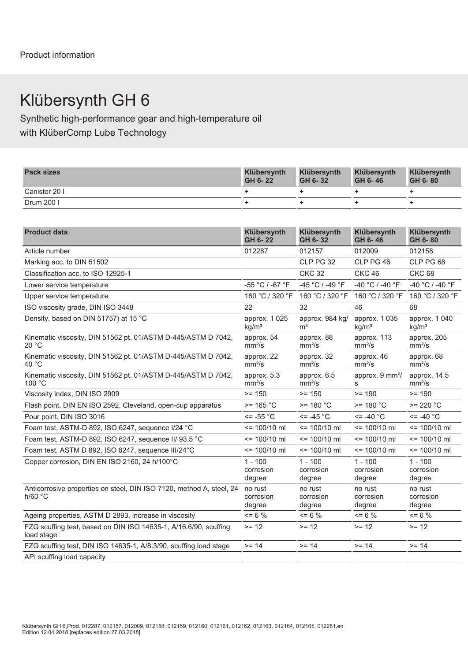# Klübersynth GH 6

Synthetic high-performance gear and high-temperature oil with KlüberComp Lube Technology

| <b>Pack sizes</b> | Klübersynth<br>GH 6-22 | Klübersynth<br>GH 6-32 | Klübersynth<br>GH 6-46 | Klübersynth<br>GH 6-80 |
|-------------------|------------------------|------------------------|------------------------|------------------------|
| Canister 20 I     |                        |                        |                        |                        |
| Drum 200 l        |                        |                        |                        |                        |

| <b>Product data</b>                                                             | Klübersynth<br>GH 6-22             | Klübersynth<br>GH 6-32            | Klübersynth<br>GH 6-46             | Klübersynth<br>GH 6-80             |
|---------------------------------------------------------------------------------|------------------------------------|-----------------------------------|------------------------------------|------------------------------------|
| Article number                                                                  | 012287                             | 012157                            | 012009                             | 012158                             |
| Marking acc. to DIN 51502                                                       |                                    | CLP PG 32                         | CLP PG 46                          | CLP PG 68                          |
| Classification acc. to ISO 12925-1                                              |                                    | <b>CKC 32</b>                     | <b>CKC 46</b>                      | <b>CKC 68</b>                      |
| Lower service temperature                                                       | -55 °C / -67 °F                    | -45 °C / -49 °F                   | -40 °C / -40 °F                    | -40 °C / -40 °F                    |
| Upper service temperature                                                       |                                    | 160 °C / 320 °F 160 °C / 320 °F   | 160 °C / 320 °F                    | 160 °C / 320 °F                    |
| ISO viscosity grade, DIN ISO 3448                                               | 22                                 | 32                                | 46                                 | 68                                 |
| Density, based on DIN 51757) at 15 °C                                           | approx. 1 025<br>kg/m <sup>3</sup> | approx. 984 kg/<br>m <sup>3</sup> | approx. 1 035<br>kg/m <sup>3</sup> | approx. 1 040<br>kg/m <sup>3</sup> |
| Kinematic viscosity, DIN 51562 pt. 01/ASTM D-445/ASTM D 7042,<br>20 °C          | approx. 54<br>mm <sup>2</sup> /s   | approx. 88<br>mm <sup>2</sup> /s  | approx. 113<br>mm <sup>2</sup> /s  | approx. 205<br>mm <sup>2</sup> /s  |
| Kinematic viscosity, DIN 51562 pt. 01/ASTM D-445/ASTM D 7042,<br>40 °C          | approx. 22<br>mm <sup>2</sup> /s   | approx. 32<br>mm <sup>2</sup> /s  | approx. 46<br>mm <sup>2</sup> /s   | approx. 68<br>mm <sup>2</sup> /s   |
| Kinematic viscosity, DIN 51562 pt. 01/ASTM D-445/ASTM D 7042,<br>100 °C         | approx. 5.3<br>mm <sup>2</sup> /s  | approx. 6.5<br>mm <sup>2</sup> /s | approx. 9 mm <sup>2</sup> /<br>S.  | approx. 14.5<br>mm <sup>2</sup> /s |
| Viscosity index, DIN ISO 2909                                                   | $>= 150$                           | $>= 150$                          | $>= 190$                           | $>= 190$                           |
| Flash point, DIN EN ISO 2592, Cleveland, open-cup apparatus                     | $>= 165 °C$                        | $>= 180 °C$                       | $>= 180 °C$                        | $>= 220 °C$                        |
| Pour point, DIN ISO 3016                                                        | $\le$ = -55 $^{\circ}$ C           | $\le$ = -45 °C                    | $\epsilon$ = -40 $^{\circ}$ C      | $\le$ = -40 $^{\circ}$ C           |
| Foam test, ASTM-D 892, ISO 6247, sequence I/24 °C                               | $= 100/10$ ml                      | $\le$ 100/10 ml                   | $= 100/10$ ml                      | $= 100/10$ ml                      |
| Foam test, ASTM-D 892, ISO 6247, sequence II/ 93.5 °C                           | $= 100/10$ ml                      | $= 100/10$ ml                     | $= 100/10$ ml                      | $= 100/10$ ml                      |
| Foam test, ASTM D 892, ISO 6247, sequence III/24°C                              | $= 100/10$ ml                      | $= 100/10$ ml                     | $= 100/10$ ml                      | $= 100/10$ ml                      |
| Copper corrosion, DIN EN ISO 2160, 24 h/100°C                                   | $1 - 100$<br>corrosion<br>degree   | $1 - 100$<br>corrosion<br>degree  | $1 - 100$<br>corrosion<br>degree   | $1 - 100$<br>corrosion<br>degree   |
| Anticorrosive properties on steel, DIN ISO 7120, method A, steel, 24<br>h/60 °C | no rust<br>corrosion<br>degree     | no rust<br>corrosion<br>degree    | no rust<br>corrosion<br>degree     | no rust<br>corrosion<br>degree     |
| Ageing properties, ASTM D 2893, increase in viscosity                           | $\leq$ 6 %                         | $= 6 \%$                          | $= 6 \%$                           | $= 6 \%$                           |
| FZG scuffing test, based on DIN ISO 14635-1, A/16.6/90, scuffing<br>load stage  | $>= 12$                            | $>= 12$                           | $>= 12$                            | $>= 12$                            |
| FZG scuffing test, DIN ISO 14635-1, A/8.3/90, scuffing load stage               | $>= 14$                            | $>= 14$                           | $>= 14$                            | $>= 14$                            |
| API scuffing load capacity                                                      |                                    |                                   |                                    |                                    |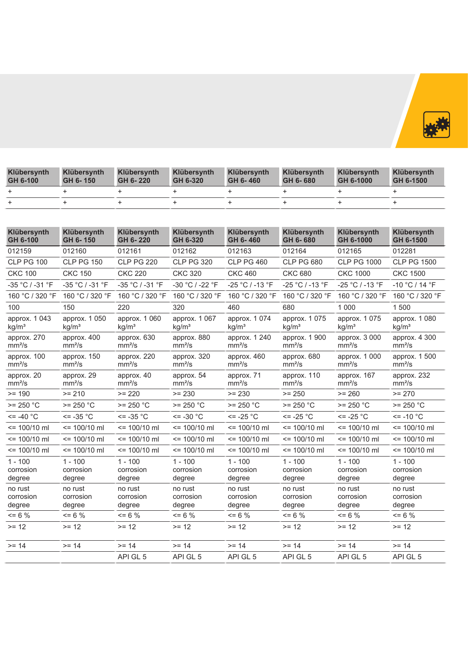

| <b>Klübersynth</b><br>GH 6-100 | Klübersynth<br>GH 6-150 | Klübersynth<br>GH 6-220 | Klübersynth<br>GH 6-320 | Klübersynth<br>GH 6-460 | Klübersynth<br>GH 6-680 | Klübersynth<br>GH 6-1000 | Klübersynth<br>GH 6-1500 |
|--------------------------------|-------------------------|-------------------------|-------------------------|-------------------------|-------------------------|--------------------------|--------------------------|
|                                |                         |                         |                         |                         |                         |                          |                          |
|                                |                         |                         |                         |                         |                         |                          |                          |

| Klübersynth<br>GH 6-100            | Klübersynth<br>GH 6-150            | <b>Klübersynth</b><br>GH 6-220     | Klübersynth<br>GH 6-320            | Klübersynth<br>GH 6-460             | Klübersynth<br>GH 6-680             | Klübersynth<br>GH 6-1000            | Klübersynth<br>GH 6-1500            |
|------------------------------------|------------------------------------|------------------------------------|------------------------------------|-------------------------------------|-------------------------------------|-------------------------------------|-------------------------------------|
| 012159                             | 012160                             | 012161                             | 012162                             | 012163                              | 012164                              | 012165                              | 012281                              |
| <b>CLP PG 100</b>                  | <b>CLP PG 150</b>                  | <b>CLP PG 220</b>                  | <b>CLP PG 320</b>                  | <b>CLP PG 460</b>                   | <b>CLP PG 680</b>                   | <b>CLP PG 1000</b>                  | <b>CLP PG 1500</b>                  |
| <b>CKC 100</b>                     | <b>CKC 150</b>                     | <b>CKC 220</b>                     | <b>CKC 320</b>                     | <b>CKC 460</b>                      | <b>CKC 680</b>                      | <b>CKC 1000</b>                     | <b>CKC 1500</b>                     |
| $-35 °C / -31 °F$                  | -35 °C / -31 °F                    | -35 °C / -31 °F                    | -30 °C / -22 °F                    | -25 °C / -13 °F                     | -25 °C / -13 °F                     | $-25 °C / -13 °F$                   | $-10 °C / 14 °F$                    |
| 160 °C / 320 °F                    | 160 °C / 320 °F                    | 160 °C / 320 °F                    | 160 °C / 320 °F                    | 160 °C / 320 °F                     | 160 °C / 320 °F                     | 160 °C / 320 °F                     | 160 °C / 320 °F                     |
| 100                                | 150                                | 220                                | 320                                | 460                                 | 680                                 | 1 0 0 0                             | 1500                                |
| approx. 1 043<br>kg/m <sup>3</sup> | approx. 1 050<br>kg/m <sup>3</sup> | approx. 1 060<br>kg/m <sup>3</sup> | approx. 1 067<br>kq/m <sup>3</sup> | approx. 1 074<br>$kq/m^3$           | approx. 1 075<br>kg/m <sup>3</sup>  | approx. 1 075<br>kg/m <sup>3</sup>  | approx. 1 080<br>kq/m <sup>3</sup>  |
| approx. 270<br>mm <sup>2</sup> /s  | approx. 400<br>mm <sup>2</sup> /s  | approx. 630<br>mm <sup>2</sup> /s  | approx. 880<br>mm <sup>2</sup> /s  | approx. 1 240<br>mm <sup>2</sup> /s | approx. 1 900<br>mm <sup>2</sup> /s | approx. 3 000<br>mm <sup>2</sup> /s | approx. 4 300<br>mm <sup>2</sup> /s |
| approx. 100<br>mm <sup>2</sup> /s  | approx. 150<br>mm <sup>2</sup> /s  | approx. 220<br>mm <sup>2</sup> /s  | approx. 320<br>mm <sup>2</sup> /s  | approx. 460<br>mm <sup>2</sup> /s   | approx. 680<br>mm <sup>2</sup> /s   | approx. 1 000<br>mm <sup>2</sup> /s | approx. 1 500<br>mm <sup>2</sup> /s |
| approx. 20<br>mm <sup>2</sup> /s   | approx. 29<br>mm <sup>2</sup> /s   | approx. 40<br>mm <sup>2</sup> /s   | approx. 54<br>mm <sup>2</sup> /s   | approx. 71<br>mm <sup>2</sup> /s    | approx. 110<br>mm <sup>2</sup> /s   | approx. 167<br>mm <sup>2</sup> /s   | approx. 232<br>mm <sup>2</sup> /s   |
| $>= 190$                           | $>= 210$                           | $>= 220$                           | $>= 230$                           | $>= 230$                            | $>= 250$                            | $>= 260$                            | $>= 270$                            |
| $>= 250 °C$                        | $>= 250 °C$                        | $>= 250 °C$                        | $>= 250 °C$                        | $>= 250 °C$                         | $>= 250 °C$                         | $>= 250 °C$                         | $>= 250 °C$                         |
| $\le$ = -40 $^{\circ}$ C           | $\le$ = -35 $^{\circ}$ C           | $\epsilon$ = -35 °C                | $\le$ = -30 $^{\circ}$ C           | $\le$ -25 $^{\circ}$ C              | $\le$ -25 °C                        | $\le$ = -25 °C                      | $\le$ -10 $^{\circ}$ C              |
| $\le$ 100/10 ml                    | $= 100/10$ ml                      | $\le$ 100/10 ml                    | $= 100/10$ ml                      | $\le$ 100/10 ml                     | $\le$ 100/10 ml                     | $= 100/10$ ml                       | $= 100/10$ ml                       |
| $= 100/10$ ml                      | $\leq$ 100/10 ml                   | $= 100/10$ ml                      | $= 100/10$ ml                      | $= 100/10$ ml                       | $= 100/10$ ml                       | $= 100/10$ ml                       | $= 100/10$ ml                       |
| $= 100/10$ ml                      | $= 100/10$ ml                      | $= 100/10$ ml                      | $= 100/10$ ml                      | $= 100/10$ ml                       | $= 100/10$ ml                       | $= 100/10$ ml                       | $= 100/10$ ml                       |
| $1 - 100$<br>corrosion<br>degree   | $1 - 100$<br>corrosion<br>degree   | $1 - 100$<br>corrosion<br>degree   | $1 - 100$<br>corrosion<br>degree   | $1 - 100$<br>corrosion<br>degree    | $1 - 100$<br>corrosion<br>degree    | $1 - 100$<br>corrosion<br>degree    | $1 - 100$<br>corrosion<br>degree    |
| no rust<br>corrosion<br>degree     | no rust<br>corrosion<br>degree     | no rust<br>corrosion<br>degree     | no rust<br>corrosion<br>degree     | no rust<br>corrosion<br>degree      | no rust<br>corrosion<br>degree      | no rust<br>corrosion<br>degree      | no rust<br>corrosion<br>degree      |
| $= 6 \%$                           | $= 6 \%$                           | $\leq$ 6 %                         | $= 6 \%$                           | $= 6 \%$                            | $= 6 \%$                            | $= 6 \%$                            | $= 6 \%$                            |
| $>= 12$                            | $>= 12$                            | $>= 12$                            | $>= 12$                            | $>= 12$                             | $>= 12$                             | $>= 12$                             | $>= 12$                             |
| $>= 14$                            | $>= 14$                            | $>= 14$                            | $>= 14$                            | $>= 14$                             | $>= 14$                             | $>= 14$                             | $>= 14$                             |
|                                    |                                    | API GL 5                           | API GL 5                           | API GL 5                            | API GL 5                            | API GL 5                            | API GL 5                            |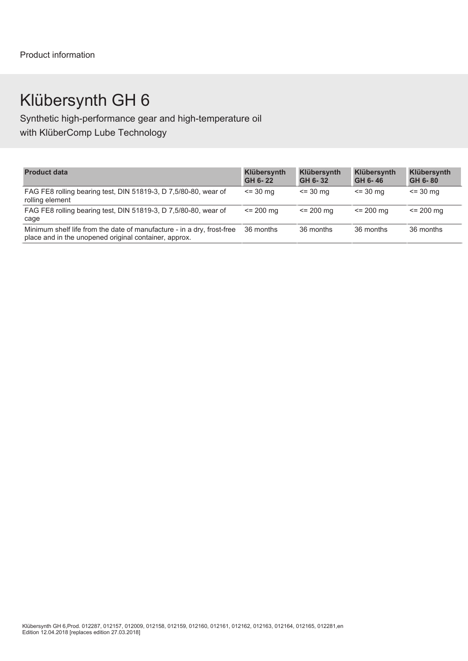# Klübersynth GH 6

Synthetic high-performance gear and high-temperature oil with KlüberComp Lube Technology

| <b>Product data</b>                                                                                                             | <b>Klübersynth</b><br>GH 6-22 | Klübersynth<br>GH 6-32 | Klübersynth<br>GH 6-46 | Klübersynth<br>GH 6-80 |
|---------------------------------------------------------------------------------------------------------------------------------|-------------------------------|------------------------|------------------------|------------------------|
| FAG FE8 rolling bearing test, DIN 51819-3, D 7,5/80-80, wear of<br>rolling element                                              | $\le$ = 30 mg                 | $\le$ 30 mg            | $= 30 \text{ mg}$      | $\le$ = 30 mg          |
| FAG FE8 rolling bearing test, DIN 51819-3, D 7,5/80-80, wear of<br>cage                                                         | $\le$ 200 mg                  | $\leq$ 200 mg          | $\le$ 200 mg           | $\le$ 200 mg           |
| Minimum shelf life from the date of manufacture - in a dry, frost-free<br>place and in the unopened original container, approx. | 36 months                     | 36 months              | 36 months              | 36 months              |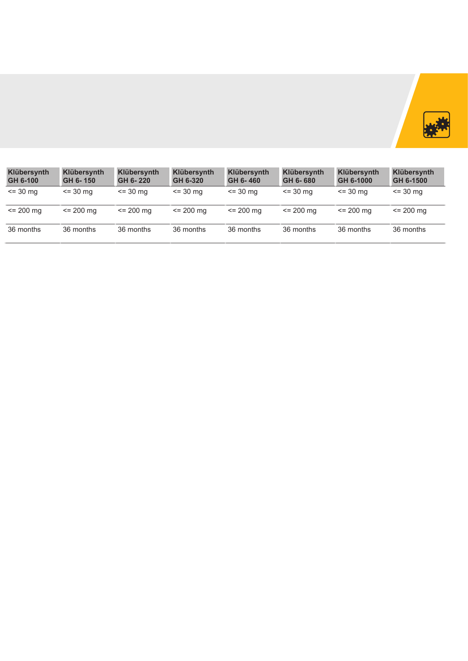

| Klübersynth<br>GH 6-100 | <b>Klübersynth</b><br>GH 6-150 | <b>Klübersynth</b><br>GH 6-220 | <b>Klübersynth</b><br>GH 6-320 | Klübersynth<br>GH 6-460 | <b>Klübersynth</b><br>GH 6-680 | <b>Klübersynth</b><br>GH 6-1000 | <b>Klübersynth</b><br>GH 6-1500 |
|-------------------------|--------------------------------|--------------------------------|--------------------------------|-------------------------|--------------------------------|---------------------------------|---------------------------------|
| $= 30 \, \text{mg}$     | $\le$ 30 mg                    | $= 30 \, \text{mg}$            | $= 30 \, \text{mg}$            | $= 30$ mg               | $\leq$ 30 mg                   | $= 30 \text{ ma}$               | $\le$ 30 mg                     |
| $= 200$ mg              | $\le$ 200 mg                   | $\le$ 200 mg                   | $= 200$ mg                     | $\leq$ 200 mg           | $\leq$ 200 mg                  | $\leq$ 200 mg                   | $\le$ 200 mg                    |
| 36 months               | 36 months                      | 36 months                      | 36 months                      | 36 months               | 36 months                      | 36 months                       | 36 months                       |